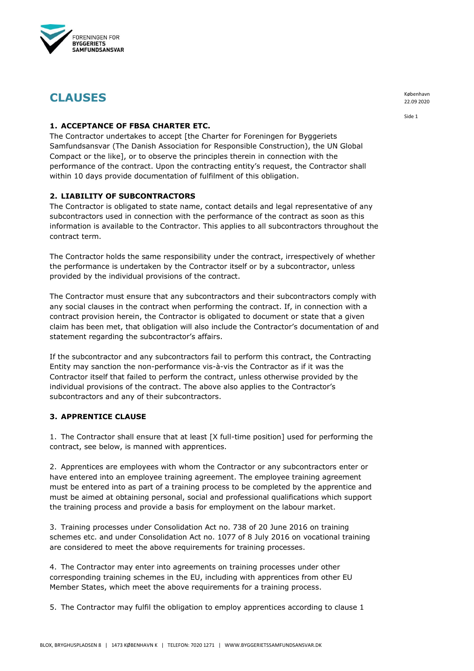

# **CLAUSES**

#### **1. ACCEPTANCE OF FBSA CHARTER ETC.**

The Contractor undertakes to accept [the Charter for Foreningen for Byggeriets Samfundsansvar (The Danish Association for Responsible Construction), the UN Global Compact or the like], or to observe the principles therein in connection with the performance of the contract. Upon the contracting entity's request, the Contractor shall within 10 days provide documentation of fulfilment of this obligation.

# **2. LIABILITY OF SUBCONTRACTORS**

The Contractor is obligated to state name, contact details and legal representative of any subcontractors used in connection with the performance of the contract as soon as this information is available to the Contractor. This applies to all subcontractors throughout the contract term.

The Contractor holds the same responsibility under the contract, irrespectively of whether the performance is undertaken by the Contractor itself or by a subcontractor, unless provided by the individual provisions of the contract.

The Contractor must ensure that any subcontractors and their subcontractors comply with any social clauses in the contract when performing the contract. If, in connection with a contract provision herein, the Contractor is obligated to document or state that a given claim has been met, that obligation will also include the Contractor's documentation of and statement regarding the subcontractor's affairs.

If the subcontractor and any subcontractors fail to perform this contract, the Contracting Entity may sanction the non-performance vis-à-vis the Contractor as if it was the Contractor itself that failed to perform the contract, unless otherwise provided by the individual provisions of the contract. The above also applies to the Contractor's subcontractors and any of their subcontractors.

# **3. APPRENTICE CLAUSE**

1. The Contractor shall ensure that at least [X full-time position] used for performing the contract, see below, is manned with apprentices.

2. Apprentices are employees with whom the Contractor or any subcontractors enter or have entered into an employee training agreement. The employee training agreement must be entered into as part of a training process to be completed by the apprentice and must be aimed at obtaining personal, social and professional qualifications which support the training process and provide a basis for employment on the labour market.

3. Training processes under Consolidation Act no. 738 of 20 June 2016 on training schemes etc. and under Consolidation Act no. 1077 of 8 July 2016 on vocational training are considered to meet the above requirements for training processes.

4. The Contractor may enter into agreements on training processes under other corresponding training schemes in the EU, including with apprentices from other EU Member States, which meet the above requirements for a training process.

5. The Contractor may fulfil the obligation to employ apprentices according to clause 1

København 22.09 2020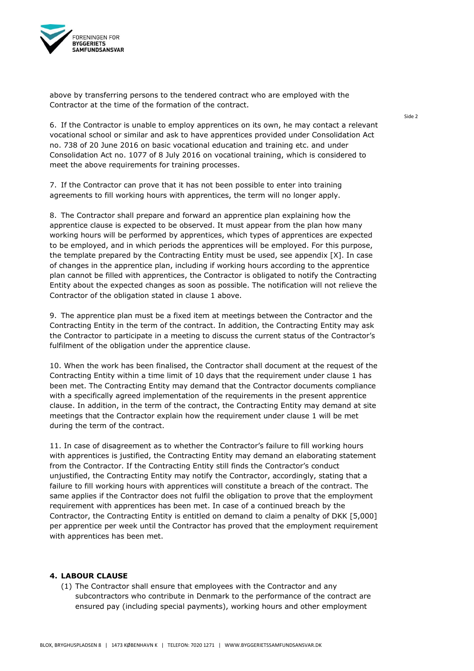

above by transferring persons to the tendered contract who are employed with the Contractor at the time of the formation of the contract.

6. If the Contractor is unable to employ apprentices on its own, he may contact a relevant vocational school or similar and ask to have apprentices provided under Consolidation Act no. 738 of 20 June 2016 on basic vocational education and training etc. and under Consolidation Act no. 1077 of 8 July 2016 on vocational training, which is considered to meet the above requirements for training processes.

7. If the Contractor can prove that it has not been possible to enter into training agreements to fill working hours with apprentices, the term will no longer apply.

8. The Contractor shall prepare and forward an apprentice plan explaining how the apprentice clause is expected to be observed. It must appear from the plan how many working hours will be performed by apprentices, which types of apprentices are expected to be employed, and in which periods the apprentices will be employed. For this purpose, the template prepared by the Contracting Entity must be used, see appendix  $[X]$ . In case of changes in the apprentice plan, including if working hours according to the apprentice plan cannot be filled with apprentices, the Contractor is obligated to notify the Contracting Entity about the expected changes as soon as possible. The notification will not relieve the Contractor of the obligation stated in clause 1 above.

9. The apprentice plan must be a fixed item at meetings between the Contractor and the Contracting Entity in the term of the contract. In addition, the Contracting Entity may ask the Contractor to participate in a meeting to discuss the current status of the Contractor's fulfilment of the obligation under the apprentice clause.

10. When the work has been finalised, the Contractor shall document at the request of the Contracting Entity within a time limit of 10 days that the requirement under clause 1 has been met. The Contracting Entity may demand that the Contractor documents compliance with a specifically agreed implementation of the requirements in the present apprentice clause. In addition, in the term of the contract, the Contracting Entity may demand at site meetings that the Contractor explain how the requirement under clause 1 will be met during the term of the contract.

11. In case of disagreement as to whether the Contractor's failure to fill working hours with apprentices is justified, the Contracting Entity may demand an elaborating statement from the Contractor. If the Contracting Entity still finds the Contractor's conduct unjustified, the Contracting Entity may notify the Contractor, accordingly, stating that a failure to fill working hours with apprentices will constitute a breach of the contract. The same applies if the Contractor does not fulfil the obligation to prove that the employment requirement with apprentices has been met. In case of a continued breach by the Contractor, the Contracting Entity is entitled on demand to claim a penalty of DKK [5,000] per apprentice per week until the Contractor has proved that the employment requirement with apprentices has been met.

#### **4. LABOUR CLAUSE**

(1) The Contractor shall ensure that employees with the Contractor and any subcontractors who contribute in Denmark to the performance of the contract are ensured pay (including special payments), working hours and other employment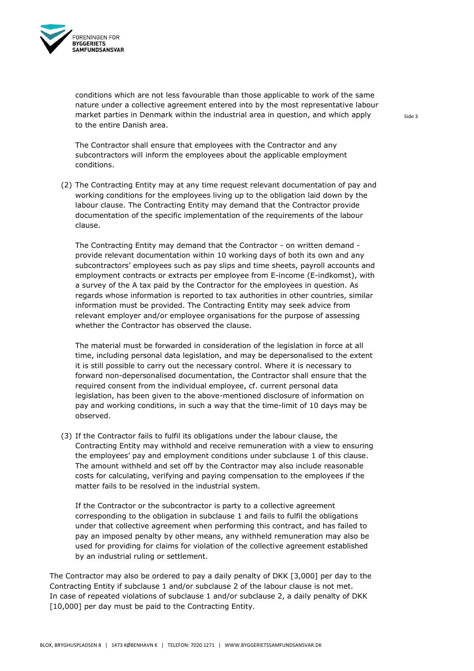

conditions which are not less favourable than those applicable to work of the same nature under a collective agreement entered into by the most representative labour market parties in Denmark within the industrial area in question, and which apply to the entire Danish area.

The Contractor shall ensure that employees with the Contractor and any subcontractors will inform the employees about the applicable employment conditions.

(2) The Contracting Entity may at any time request relevant documentation of pay and working conditions for the employees living up to the obligation laid down by the labour clause. The Contracting Entity may demand that the Contractor provide documentation of the specific implementation of the requirements of the labour clause.

The Contracting Entity may demand that the Contractor - on written demand provide relevant documentation within 10 working days of both its own and any subcontractors' employees such as pay slips and time sheets, payroll accounts and employment contracts or extracts per employee from E-income (E-indkomst), with a survey of the A tax paid by the Contractor for the employees in question. As regards whose information is reported to tax authorities in other countries, similar information must be provided. The Contracting Entity may seek advice from relevant employer and/or employee organisations for the purpose of assessing whether the Contractor has observed the clause.

The material must be forwarded in consideration of the legislation in force at all time, including personal data legislation, and may be depersonalised to the extent it is still possible to carry out the necessary control. Where it is necessary to forward non-depersonalised documentation, the Contractor shall ensure that the required consent from the individual employee, cf. current personal data legislation, has been given to the above-mentioned disclosure of information on pay and working conditions, in such a way that the time-limit of 10 days may be observed.

(3) If the Contractor fails to fulfil its obligations under the labour clause, the Contracting Entity may withhold and receive remuneration with a view to ensuring the employees' pay and employment conditions under subclause 1 of this clause. The amount withheld and set off by the Contractor may also include reasonable costs for calculating, verifying and paying compensation to the employees if the matter fails to be resolved in the industrial system.

If the Contractor or the subcontractor is party to a collective agreement corresponding to the obligation in subclause 1 and fails to fulfil the obligations under that collective agreement when performing this contract, and has failed to pay an imposed penalty by other means, any withheld remuneration may also be used for providing for claims for violation of the collective agreement established by an industrial ruling or settlement.

The Contractor may also be ordered to pay a daily penalty of DKK [3,000] per day to the Contracting Entity if subclause 1 and/or subclause 2 of the labour clause is not met. In case of repeated violations of subclause 1 and/or subclause 2, a daily penalty of DKK [10,000] per day must be paid to the Contracting Entity.